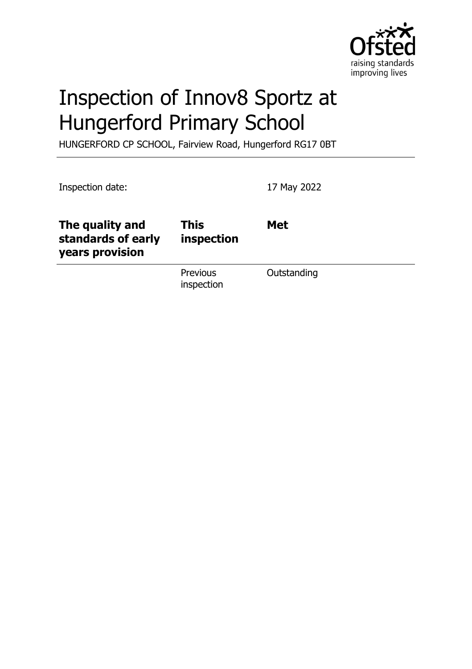

# Inspection of Innov8 Sportz at Hungerford Primary School

HUNGERFORD CP SCHOOL, Fairview Road, Hungerford RG17 0BT

| Inspection date:                                         |                           | 17 May 2022 |
|----------------------------------------------------------|---------------------------|-------------|
| The quality and<br>standards of early<br>years provision | <b>This</b><br>inspection | <b>Met</b>  |
|                                                          | Previous<br>inspection    | Outstanding |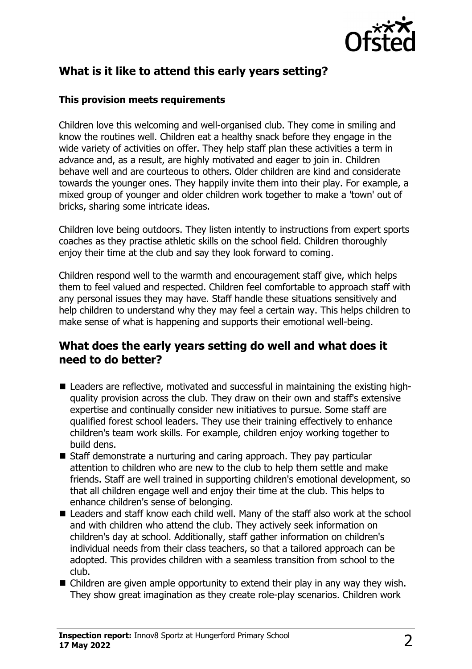

# **What is it like to attend this early years setting?**

#### **This provision meets requirements**

Children love this welcoming and well-organised club. They come in smiling and know the routines well. Children eat a healthy snack before they engage in the wide variety of activities on offer. They help staff plan these activities a term in advance and, as a result, are highly motivated and eager to join in. Children behave well and are courteous to others. Older children are kind and considerate towards the younger ones. They happily invite them into their play. For example, a mixed group of younger and older children work together to make a 'town' out of bricks, sharing some intricate ideas.

Children love being outdoors. They listen intently to instructions from expert sports coaches as they practise athletic skills on the school field. Children thoroughly enjoy their time at the club and say they look forward to coming.

Children respond well to the warmth and encouragement staff give, which helps them to feel valued and respected. Children feel comfortable to approach staff with any personal issues they may have. Staff handle these situations sensitively and help children to understand why they may feel a certain way. This helps children to make sense of what is happening and supports their emotional well-being.

#### **What does the early years setting do well and what does it need to do better?**

- Leaders are reflective, motivated and successful in maintaining the existing highquality provision across the club. They draw on their own and staff's extensive expertise and continually consider new initiatives to pursue. Some staff are qualified forest school leaders. They use their training effectively to enhance children's team work skills. For example, children enjoy working together to build dens.
- $\blacksquare$  Staff demonstrate a nurturing and caring approach. They pay particular attention to children who are new to the club to help them settle and make friends. Staff are well trained in supporting children's emotional development, so that all children engage well and enjoy their time at the club. This helps to enhance children's sense of belonging.
- $\blacksquare$  Leaders and staff know each child well. Many of the staff also work at the school and with children who attend the club. They actively seek information on children's day at school. Additionally, staff gather information on children's individual needs from their class teachers, so that a tailored approach can be adopted. This provides children with a seamless transition from school to the club.
- $\blacksquare$  Children are given ample opportunity to extend their play in any way they wish. They show great imagination as they create role-play scenarios. Children work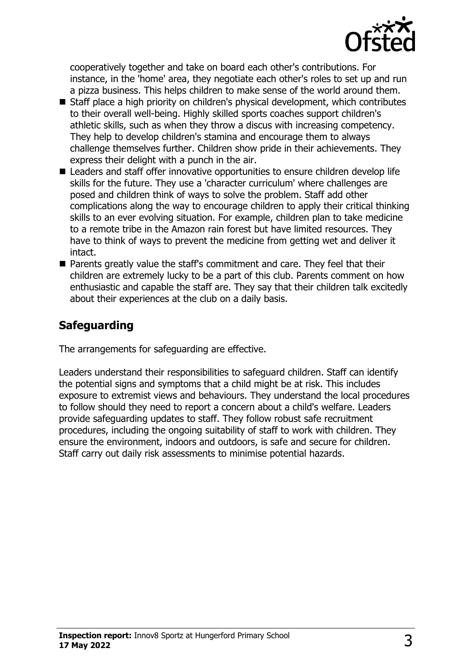

cooperatively together and take on board each other's contributions. For instance, in the 'home' area, they negotiate each other's roles to set up and run a pizza business. This helps children to make sense of the world around them.

- Staff place a high priority on children's physical development, which contributes to their overall well-being. Highly skilled sports coaches support children's athletic skills, such as when they throw a discus with increasing competency. They help to develop children's stamina and encourage them to always challenge themselves further. Children show pride in their achievements. They express their delight with a punch in the air.
- Leaders and staff offer innovative opportunities to ensure children develop life skills for the future. They use a 'character curriculum' where challenges are posed and children think of ways to solve the problem. Staff add other complications along the way to encourage children to apply their critical thinking skills to an ever evolving situation. For example, children plan to take medicine to a remote tribe in the Amazon rain forest but have limited resources. They have to think of ways to prevent the medicine from getting wet and deliver it intact.
- Parents greatly value the staff's commitment and care. They feel that their children are extremely lucky to be a part of this club. Parents comment on how enthusiastic and capable the staff are. They say that their children talk excitedly about their experiences at the club on a daily basis.

## **Safeguarding**

The arrangements for safeguarding are effective.

Leaders understand their responsibilities to safeguard children. Staff can identify the potential signs and symptoms that a child might be at risk. This includes exposure to extremist views and behaviours. They understand the local procedures to follow should they need to report a concern about a child's welfare. Leaders provide safeguarding updates to staff. They follow robust safe recruitment procedures, including the ongoing suitability of staff to work with children. They ensure the environment, indoors and outdoors, is safe and secure for children. Staff carry out daily risk assessments to minimise potential hazards.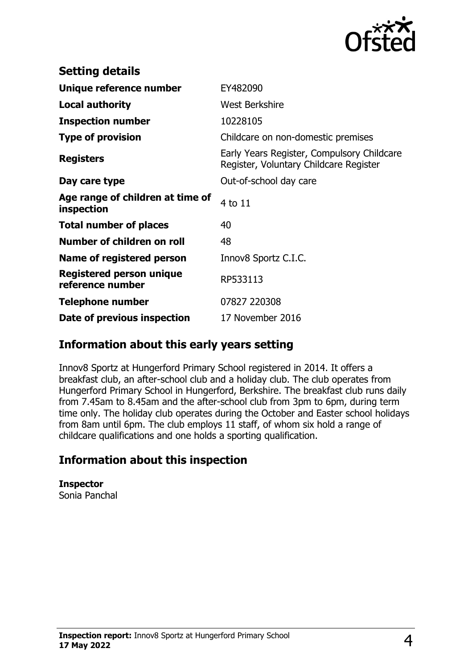

| <b>Setting details</b>                         |                                                                                      |
|------------------------------------------------|--------------------------------------------------------------------------------------|
| Unique reference number                        | EY482090                                                                             |
| <b>Local authority</b>                         | <b>West Berkshire</b>                                                                |
| <b>Inspection number</b>                       | 10228105                                                                             |
| <b>Type of provision</b>                       | Childcare on non-domestic premises                                                   |
| <b>Registers</b>                               | Early Years Register, Compulsory Childcare<br>Register, Voluntary Childcare Register |
| Day care type                                  | Out-of-school day care                                                               |
| Age range of children at time of<br>inspection | 4 to 11                                                                              |
| <b>Total number of places</b>                  | 40                                                                                   |
| Number of children on roll                     | 48                                                                                   |
| Name of registered person                      | Innov8 Sportz C.I.C.                                                                 |
| Registered person unique<br>reference number   | RP533113                                                                             |
| <b>Telephone number</b>                        | 07827 220308                                                                         |
| Date of previous inspection                    | 17 November 2016                                                                     |

### **Information about this early years setting**

Innov8 Sportz at Hungerford Primary School registered in 2014. It offers a breakfast club, an after-school club and a holiday club. The club operates from Hungerford Primary School in Hungerford, Berkshire. The breakfast club runs daily from 7.45am to 8.45am and the after-school club from 3pm to 6pm, during term time only. The holiday club operates during the October and Easter school holidays from 8am until 6pm. The club employs 11 staff, of whom six hold a range of childcare qualifications and one holds a sporting qualification.

## **Information about this inspection**

**Inspector** Sonia Panchal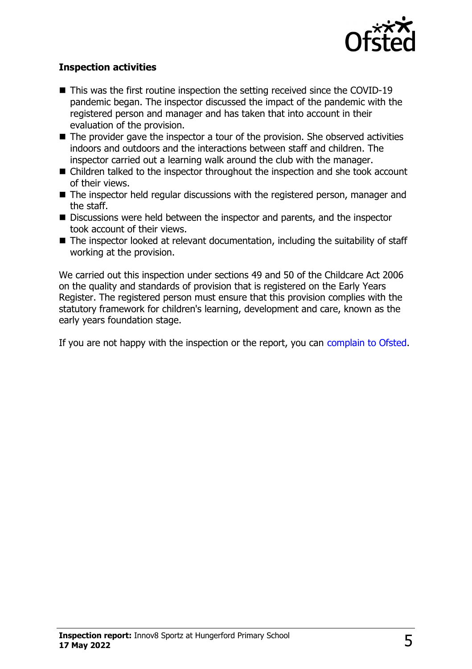

#### **Inspection activities**

- $\blacksquare$  This was the first routine inspection the setting received since the COVID-19 pandemic began. The inspector discussed the impact of the pandemic with the registered person and manager and has taken that into account in their evaluation of the provision.
- $\blacksquare$  The provider gave the inspector a tour of the provision. She observed activities indoors and outdoors and the interactions between staff and children. The inspector carried out a learning walk around the club with the manager.
- $\blacksquare$  Children talked to the inspector throughout the inspection and she took account of their views.
- $\blacksquare$  The inspector held regular discussions with the registered person, manager and the staff.
- Discussions were held between the inspector and parents, and the inspector took account of their views.
- $\blacksquare$  The inspector looked at relevant documentation, including the suitability of staff working at the provision.

We carried out this inspection under sections 49 and 50 of the Childcare Act 2006 on the quality and standards of provision that is registered on the Early Years Register. The registered person must ensure that this provision complies with the statutory framework for children's learning, development and care, known as the early years foundation stage.

If you are not happy with the inspection or the report, you can [complain to Ofsted](http://www.gov.uk/complain-ofsted-report).